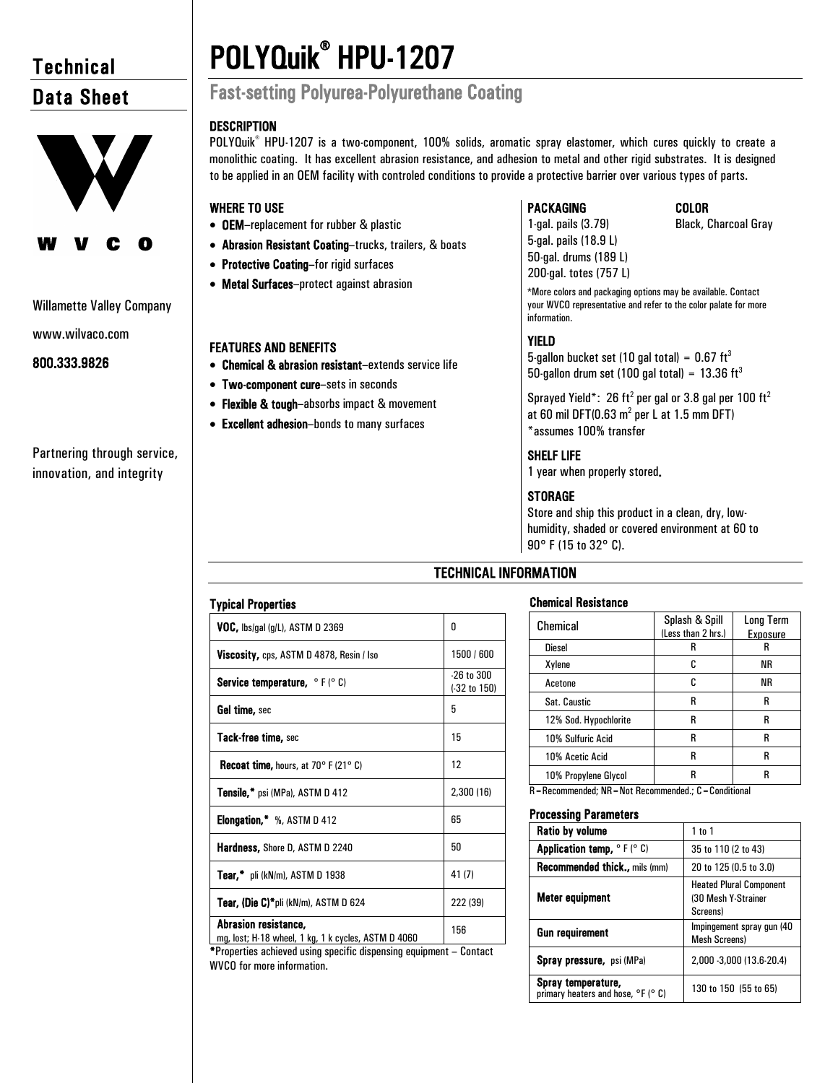# **Technical** Data Sheet



## Willamette Valley Company

www.wilvaco.com

# 800.333.9826

# Partnering through service, innovation, and integrity

# POLYQuik® HPU-1207 Fast-setting Polyurea-Polyurethane Coating

# **DESCRIPTION**

POLYQuik<sup>®</sup> HPU-1207 is a two-component, 100% solids, aromatic spray elastomer, which cures quickly to create a monolithic coating. It has excellent abrasion resistance, and adhesion to metal and other rigid substrates. It is designed to be applied in an OEM facility with controled conditions to provide a protective barrier over various types of parts.

# WHERE TO USE

- OEM–replacement for rubber & plastic
- Abrasion Resistant Coating–trucks, trailers, & boats
- Protective Coating–for rigid surfaces
- Metal Surfaces–protect against abrasion

# FEATURES AND BENEFITS

- Chemical & abrasion resistant–extends service life
- Two-component cure–sets in seconds
- Flexible & tough-absorbs impact & movement
- Excellent adhesion–bonds to many surfaces

# PACKAGING COLOR

1-gal. pails (3.79) Black, Charcoal Gray

5-gal. pails (18.9 L) 50-gal. drums (189 L) 200-gal. totes (757 L)

\*More colors and packaging options may be available. Contact your WVCO representative and refer to the color palate for more information.

# YIELD

5-gallon bucket set (10 gal total) =  $0.67 \text{ ft}^3$ 50-gallon drum set (100 gal total) =  $13.36 \text{ ft}^3$ 

Sprayed Yield\*: 26 ft<sup>2</sup> per gal or 3.8 gal per 100 ft<sup>2</sup> at 60 mil DFT(0.63  $m^2$  per L at 1.5 mm DFT) \*assumes 100% transfer

# SHELF LIFE

1 year when properly stored.

# **STORAGE**

Store and ship this product in a clean, dry, lowhumidity, shaded or covered environment at 60 to 90° F (15 to 32° C).

# TECHNICAL INFORMATION

# Chemical Resistance

|                                                         | Splash & Spill     | <b>Long Term</b> |  |
|---------------------------------------------------------|--------------------|------------------|--|
| Chemical                                                | (Less than 2 hrs.) | Exposure         |  |
| <b>Diesel</b>                                           | R                  | R                |  |
|                                                         |                    |                  |  |
| Xylene                                                  | c                  | ΝR               |  |
| Acetone                                                 | C                  | ΝR               |  |
| Sat. Caustic                                            | R                  | R                |  |
| 12% Sod. Hypochlorite                                   | R                  | R                |  |
| 10% Sulfuric Acid                                       | R                  | R                |  |
| 10% Acetic Acid                                         | R                  | R                |  |
| 10% Propylene Glycol                                    | R                  | R                |  |
| R = Recommended: NR = Not Recommended.: C = Conditional |                    |                  |  |

## Processing Parameters

| Ratio by volume                                                                  | $1$ to $1$                                                        |
|----------------------------------------------------------------------------------|-------------------------------------------------------------------|
| <b>Application temp, <math>\circ</math> F (<math>\circ</math> C)</b>             | 35 to 110 (2 to 43)                                               |
| <b>Recommended thick., mils (mm)</b>                                             | 20 to 125 (0.5 to 3.0)                                            |
| Meter equipment                                                                  | <b>Heated Plural Component</b><br>(30 Mesh Y-Strainer<br>Screens) |
| <b>Gun requirement</b>                                                           | Impingement spray gun (40<br><b>Mesh Screens)</b>                 |
| <b>Spray pressure, psi (MPa)</b>                                                 | 2,000 -3,000 (13.6-20.4)                                          |
| Spray temperature,<br>primary heaters and hose, <sup>o</sup> F ( <sup>o</sup> C) | 130 to 150 (55 to 65)                                             |

| <b>Typical Properties</b>                                                   |                                           |
|-----------------------------------------------------------------------------|-------------------------------------------|
| VOC, lbs/gal (g/L), ASTM D 2369                                             | 0                                         |
| Viscosity, cps, ASTM D 4878, Resin / Iso                                    | 1500 / 600                                |
| <b>Service temperature, </b> $\circ$ F ( $\circ$ C)                         | $-26$ to $300$<br>$(.32 \text{ to } 150)$ |
| Gel time, sec                                                               | 5                                         |
| Tack-free time, sec                                                         | 15                                        |
| <b>Recoat time, hours, at 70° F (21° C)</b>                                 | 12                                        |
| <b>Tensile,*</b> psi (MPa), ASTM D 412                                      | 2,300 (16)                                |
| <b>Elongation,</b> $\frac{4}{3}$ %, ASTM D 412                              | 65                                        |
| <b>Hardness, Shore D, ASTM D 2240</b>                                       | 50                                        |
| <b>Tear,*</b> pli (kN/m), ASTM D 1938                                       | 41(7)                                     |
| Tear, (Die C)*pli (kN/m), ASTM D 624                                        | 222 (39)                                  |
| Abrasion resistance,<br>mg, lost; H-18 wheel, 1 kg, 1 k cycles, ASTM D 4060 | 156                                       |

\*Properties achieved using specific dispensing equipment – Contact WVCO for more information.